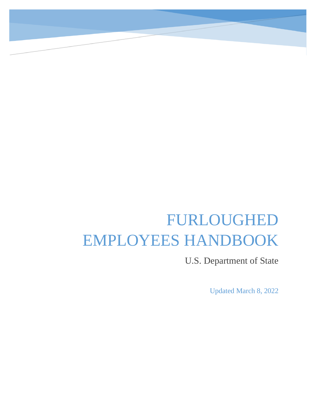# FURLOUGHED EMPLOYEES HANDBOOK

U.S. Department of State

Updated March 8, 2022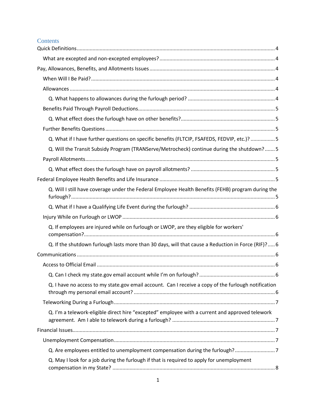# **Contents**

| Q. What if I have further questions on specific benefits (FLTCIP, FSAFEDS, FEDVIP, etc.)? 5          |  |
|------------------------------------------------------------------------------------------------------|--|
| Q. Will the Transit Subsidy Program (TRANServe/Metrocheck) continue during the shutdown? 5           |  |
|                                                                                                      |  |
|                                                                                                      |  |
|                                                                                                      |  |
| Q. Will I still have coverage under the Federal Employee Health Benefits (FEHB) program during the   |  |
|                                                                                                      |  |
|                                                                                                      |  |
| Q. If employees are injured while on furlough or LWOP, are they eligible for workers'                |  |
| Q. If the shutdown furlough lasts more than 30 days, will that cause a Reduction in Force (RIF)? 6   |  |
|                                                                                                      |  |
|                                                                                                      |  |
|                                                                                                      |  |
| Q. I have no access to my state.gov email account. Can I receive a copy of the furlough notification |  |
|                                                                                                      |  |
| Q. I'm a telework-eligible direct hire "excepted" employee with a current and approved telework      |  |
|                                                                                                      |  |
|                                                                                                      |  |
| Q. Are employees entitled to unemployment compensation during the furlough?7                         |  |
| Q. May I look for a job during the furlough if that is required to apply for unemployment            |  |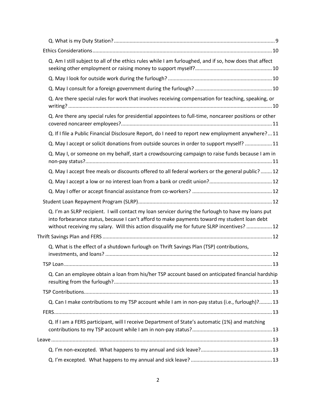| Q. Am I still subject to all of the ethics rules while I am furloughed, and if so, how does that affect                                                                                                                                                                                           |  |
|---------------------------------------------------------------------------------------------------------------------------------------------------------------------------------------------------------------------------------------------------------------------------------------------------|--|
|                                                                                                                                                                                                                                                                                                   |  |
|                                                                                                                                                                                                                                                                                                   |  |
| Q. Are there special rules for work that involves receiving compensation for teaching, speaking, or                                                                                                                                                                                               |  |
| Q. Are there any special rules for presidential appointees to full-time, noncareer positions or other                                                                                                                                                                                             |  |
| Q. If I file a Public Financial Disclosure Report, do I need to report new employment anywhere?11                                                                                                                                                                                                 |  |
| Q. May I accept or solicit donations from outside sources in order to support myself?  11                                                                                                                                                                                                         |  |
| Q. May I, or someone on my behalf, start a crowdsourcing campaign to raise funds because I am in                                                                                                                                                                                                  |  |
| Q. May I accept free meals or discounts offered to all federal workers or the general public?  12                                                                                                                                                                                                 |  |
|                                                                                                                                                                                                                                                                                                   |  |
|                                                                                                                                                                                                                                                                                                   |  |
|                                                                                                                                                                                                                                                                                                   |  |
| Q. I'm an SLRP recipient. I will contact my loan servicer during the furlough to have my loans put<br>into forbearance status, because I can't afford to make payments toward my student loan debt<br>without receiving my salary. Will this action disqualify me for future SLRP incentives?  12 |  |
|                                                                                                                                                                                                                                                                                                   |  |
| Q. What is the effect of a shutdown furlough on Thrift Savings Plan (TSP) contributions,                                                                                                                                                                                                          |  |
|                                                                                                                                                                                                                                                                                                   |  |
| Q. Can an employee obtain a loan from his/her TSP account based on anticipated financial hardship                                                                                                                                                                                                 |  |
|                                                                                                                                                                                                                                                                                                   |  |
| Q. Can I make contributions to my TSP account while I am in non-pay status (i.e., furlough)? 13                                                                                                                                                                                                   |  |
|                                                                                                                                                                                                                                                                                                   |  |
| Q. If I am a FERS participant, will I receive Department of State's automatic (1%) and matching                                                                                                                                                                                                   |  |
|                                                                                                                                                                                                                                                                                                   |  |
|                                                                                                                                                                                                                                                                                                   |  |
|                                                                                                                                                                                                                                                                                                   |  |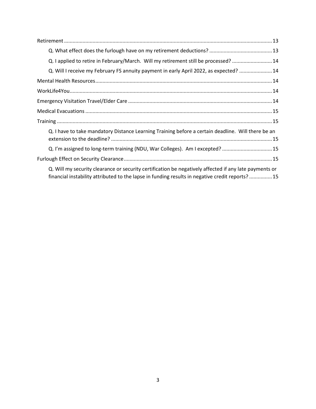| Q. I applied to retire in February/March. Will my retirement still be processed?  14                                                                                                                      |  |  |
|-----------------------------------------------------------------------------------------------------------------------------------------------------------------------------------------------------------|--|--|
| Q. Will I receive my February FS annuity payment in early April 2022, as expected?  14                                                                                                                    |  |  |
|                                                                                                                                                                                                           |  |  |
|                                                                                                                                                                                                           |  |  |
|                                                                                                                                                                                                           |  |  |
|                                                                                                                                                                                                           |  |  |
|                                                                                                                                                                                                           |  |  |
| Q. I have to take mandatory Distance Learning Training before a certain deadline. Will there be an                                                                                                        |  |  |
| Q. I'm assigned to long-term training (NDU, War Colleges). Am I excepted?  15                                                                                                                             |  |  |
|                                                                                                                                                                                                           |  |  |
| Q. Will my security clearance or security certification be negatively affected if any late payments or<br>financial instability attributed to the lapse in funding results in negative credit reports? 15 |  |  |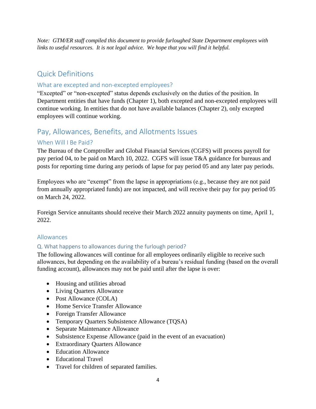*Note: GTM/ER staff compiled this document to provide furloughed State Department employees with links to useful resources. It is not legal advice. We hope that you will find it helpful.*

# <span id="page-4-0"></span>Quick Definitions

# <span id="page-4-1"></span>What are excepted and non-excepted employees?

"Excepted" or "non-excepted" status depends exclusively on the duties of the position. In Department entities that have funds (Chapter 1), both excepted and non-excepted employees will continue working. In entities that do not have available balances (Chapter 2), only excepted employees will continue working.

# <span id="page-4-2"></span>Pay, Allowances, Benefits, and Allotments Issues

## <span id="page-4-3"></span>When Will I Be Paid?

The Bureau of the Comptroller and Global Financial Services (CGFS) will process payroll for pay period 04, to be paid on March 10, 2022. CGFS will issue T&A guidance for bureaus and posts for reporting time during any periods of lapse for pay period 05 and any later pay periods.

Employees who are "exempt" from the lapse in appropriations (e.g., because they are not paid from annually appropriated funds) are not impacted, and will receive their pay for pay period 05 on March 24, 2022.

Foreign Service annuitants should receive their March 2022 annuity payments on time, April 1, 2022.

#### <span id="page-4-4"></span>Allowances

#### <span id="page-4-5"></span>Q. What happens to allowances during the furlough period?

The following allowances will continue for all employees ordinarily eligible to receive such allowances, but depending on the availability of a bureau's residual funding (based on the overall funding account), allowances may not be paid until after the lapse is over:

- Housing and utilities abroad
- Living Quarters Allowance
- Post Allowance (COLA)
- Home Service Transfer Allowance
- Foreign Transfer Allowance
- Temporary Quarters Subsistence Allowance (TQSA)
- Separate Maintenance Allowance
- Subsistence Expense Allowance (paid in the event of an evacuation)
- Extraordinary Quarters Allowance
- Education Allowance
- Educational Travel
- Travel for children of separated families.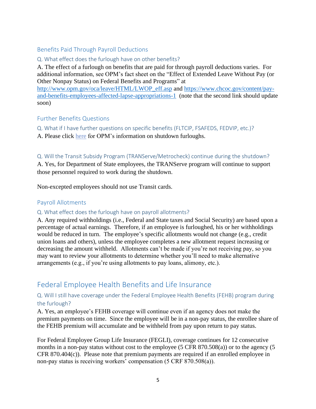## <span id="page-5-0"></span>Benefits Paid Through Payroll Deductions

#### <span id="page-5-1"></span>Q. What effect does the furlough have on other benefits?

A. The effect of a furlough on benefits that are paid for through payroll deductions varies. For additional information, see OPM's fact sheet on the "Effect of Extended Leave Without Pay (or Other Nonpay Status) on Federal Benefits and Programs" at

[http://www.opm.gov/oca/leave/HTML/LWOP\\_eff.asp](http://www.opm.gov/oca/leave/HTML/LWOP_eff.asp) and [https://www.chcoc.gov/content/pay](https://www.chcoc.gov/content/pay-and-benefits-employees-affected-lapse-appropriations-1)[and-benefits-employees-affected-lapse-appropriations-1](https://www.chcoc.gov/content/pay-and-benefits-employees-affected-lapse-appropriations-1) (note that the second link should update soon)

#### <span id="page-5-2"></span>Further Benefits Questions

<span id="page-5-3"></span>Q. What if I have further questions on specific benefits (FLTCIP, FSAFEDS, FEDVIP, etc.)?

A. Please click [here](https://www.opm.gov/policy-data-oversight/pay-leave/furlough-guidance/#url=Shutdown-Furlough) for OPM's information on shutdown furloughs.

#### <span id="page-5-4"></span>Q. Will the Transit Subsidy Program (TRANServe/Metrocheck) continue during the shutdown?

A. Yes, for Department of State employees, the TRANServe program will continue to support those personnel required to work during the shutdown.

Non-excepted employees should not use Transit cards.

# <span id="page-5-5"></span>Payroll Allotments

#### <span id="page-5-6"></span>Q. What effect does the furlough have on payroll allotments?

A. Any required withholdings (i.e., Federal and State taxes and Social Security) are based upon a percentage of actual earnings. Therefore, if an employee is furloughed, his or her withholdings would be reduced in turn. The employee's specific allotments would not change (e.g., credit union loans and others), unless the employee completes a new allotment request increasing or decreasing the amount withheld. Allotments can't be made if you're not receiving pay, so you may want to review your allotments to determine whether you'll need to make alternative arrangements (e.g., if you're using allotments to pay loans, alimony, etc.).

# <span id="page-5-7"></span>Federal Employee Health Benefits and Life Insurance

#### <span id="page-5-8"></span>Q. Will I still have coverage under the Federal Employee Health Benefits (FEHB) program during the furlough?

A. Yes, an employee's FEHB coverage will continue even if an agency does not make the premium payments on time. Since the employee will be in a non-pay status, the enrollee share of the FEHB premium will accumulate and be withheld from pay upon return to pay status.

For Federal Employee Group Life Insurance (FEGLI), coverage continues for 12 consecutive months in a non-pay status without cost to the employee (5 CFR 870.508(a)) or to the agency (5 CFR 870.404(c)). Please note that premium payments are required if an enrolled employee in non-pay status is receiving workers' compensation (5 CRF 870.508(a)).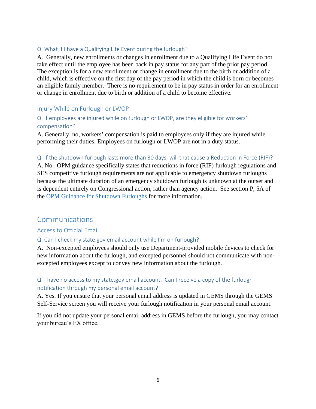#### <span id="page-6-0"></span>Q. What if I have a Qualifying Life Event during the furlough?

A. Generally, new enrollments or changes in enrollment due to a Qualifying Life Event do not take effect until the employee has been back in pay status for any part of the prior pay period. The exception is for a new enrollment or change in enrollment due to the birth or addition of a child, which is effective on the first day of the pay period in which the child is born or becomes an eligible family member. There is no requirement to be in pay status in order for an enrollment or change in enrollment due to birth or addition of a child to become effective.

#### <span id="page-6-1"></span>Injury While on Furlough or LWOP

# <span id="page-6-2"></span>Q. If employees are injured while on furlough or LWOP, are they eligible for workers' compensation?

A. Generally, no, workers' compensation is paid to employees only if they are injured while performing their duties. Employees on furlough or LWOP are not in a duty status.

#### <span id="page-6-3"></span>Q. If the shutdown furlough lasts more than 30 days, will that cause a Reduction in Force (RIF)?

A. No. OPM guidance specifically states that reductions in force (RIF) furlough regulations and SES competitive furlough requirements are not applicable to emergency shutdown furloughs because the ultimate duration of an emergency shutdown furlough is unknown at the outset and is dependent entirely on Congressional action, rather than agency action. See section P, 5A of the [OPM Guidance for Shutdown Furloughs](https://www.opm.gov/policy-data-oversight/pay-leave/furlough-guidance/guidance-for-shutdown-furloughs.pdf) for more information.

# <span id="page-6-4"></span>Communications

#### <span id="page-6-5"></span>Access to Official Email

#### <span id="page-6-6"></span>Q. Can I check my state.gov email account while I'm on furlough?

A. Non-excepted employees should only use Department-provided mobile devices to check for new information about the furlough, and excepted personnel should not communicate with nonexcepted employees except to convey new information about the furlough.

## <span id="page-6-7"></span>Q. I have no access to my state.gov email account. Can I receive a copy of the furlough notification through my personal email account?

A. Yes. If you ensure that your personal email address is updated in GEMS through the GEMS Self-Service screen you will receive your furlough notification in your personal email account.

If you did not update your personal email address in GEMS before the furlough, you may contact your bureau's EX office.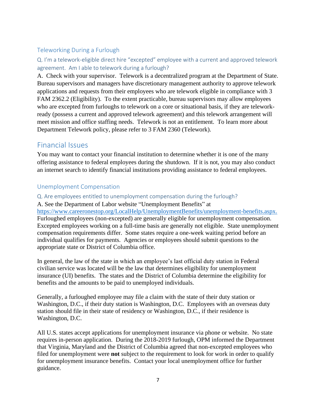# <span id="page-7-0"></span>Teleworking During a Furlough

<span id="page-7-1"></span>Q. I'm a telework-eligible direct hire "excepted" employee with a current and approved telework agreement. Am I able to telework during a furlough?

A. Check with your supervisor. Telework is a decentralized program at the Department of State. Bureau supervisors and managers have discretionary management authority to approve telework applications and requests from their employees who are telework eligible in compliance with 3 FAM 2362.2 (Eligibility). To the extent practicable, bureau supervisors may allow employees who are excepted from furloughs to telework on a core or situational basis, if they are teleworkready (possess a current and approved telework agreement) and this telework arrangement will meet mission and office staffing needs. Telework is not an entitlement. To learn more about Department Telework policy, please refer to 3 FAM 2360 (Telework).

# <span id="page-7-2"></span>Financial Issues

You may want to contact your financial institution to determine whether it is one of the many offering assistance to federal employees during the shutdown. If it is not, you may also conduct an internet search to identify financial institutions providing assistance to federal employees.

## <span id="page-7-3"></span>Unemployment Compensation

- <span id="page-7-4"></span>Q. Are employees entitled to unemployment compensation during the furlough?
- A. See the Department of Labor website "Unemployment Benefits" at

[https://www.careeronestop.org/LocalHelp/UnemploymentBenefits/unemployment-benefits.aspx.](https://www.careeronestop.org/LocalHelp/UnemploymentBenefits/unemployment-benefits.aspx) Furloughed employees (non-excepted) are generally eligible for unemployment compensation. Excepted employees working on a full-time basis are generally not eligible. State unemployment compensation requirements differ. Some states require a one-week waiting period before an individual qualifies for payments. Agencies or employees should submit questions to the appropriate state or District of Columbia office.

In general, the law of the state in which an employee's last official duty station in Federal civilian service was located will be the law that determines eligibility for unemployment insurance (UI) benefits. The states and the District of Columbia determine the eligibility for benefits and the amounts to be paid to unemployed individuals.

Generally, a furloughed employee may file a claim with the state of their duty station or Washington, D.C., if their duty station is Washington, D.C. Employees with an overseas duty station should file in their state of residency or Washington, D.C., if their residence is Washington, D.C.

All U.S. states accept applications for unemployment insurance via phone or website. No state requires in-person application. During the 2018-2019 furlough, OPM informed the Department that Virginia, Maryland and the District of Columbia agreed that non-excepted employees who filed for unemployment were **not** subject to the requirement to look for work in order to qualify for unemployment insurance benefits. Contact your local unemployment office for further guidance.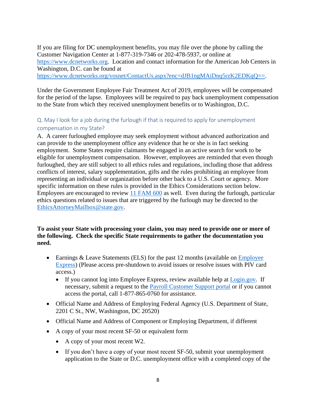If you are filing for DC unemployment benefits, you may file over the phone by calling the Customer Navigation Center at 1-877-319-7346 or 202-478-5937, or online at [https://www.dcnetworks.org.](https://www.dcnetworks.org/vosnet/Default.aspx) Location and contact information for the American Job Centers in Washington, D.C. can be found at https://www.dcnetworks.org/vosnet/ContactUs.aspx?enc=dJB1ngMAiDnq5rzK2EDKqO==.

Under the Government Employee Fair Treatment Act of 2019, employees will be compensated for the period of the lapse. Employees will be required to pay back unemployment compensation to the State from which they received unemployment benefits or to Washington, D.C.

# <span id="page-8-0"></span>Q. May I look for a job during the furlough if that is required to apply for unemployment compensation in my State?

A. A career furloughed employee may seek employment without advanced authorization and can provide to the unemployment office any evidence that he or she is in fact seeking employment. Some States require claimants be engaged in an active search for work to be eligible for unemployment compensation. However, employees are reminded that even though furloughed, they are still subject to all ethics rules and regulations, including those that address conflicts of interest, salary supplementation, gifts and the rules prohibiting an employee from representing an individual or organization before other back to a U.S. Court or agency. More specific information on these rules is provided in the Ethics Considerations section below. Employees are encouraged to review [11 FAM 600](https://fam.state.gov/Fam/FAM.aspx?ID=11FAM) as well. Even during the furlough, particular ethics questions related to issues that are triggered by the furlough may be directed to the [EthicsAttorneyMailbox@state.gov.](mailto:EthicsAttorneyMailbox@state.gov)

#### **To assist your State with processing your claim, you may need to provide one or more of the following. Check the specific State requirements to gather the documentation you need.**

- Earnings & Leave Statements (ELS) for the past 12 months (available on Employee [Express\)](https://www.employeeexpress.gov/) (Please access pre-shutdown to avoid issues or resolve issues with PIV card access.)
	- If you cannot log into Employee Express, review available help at [Login.gov.](https://login.gov/) If necessary, submit a request to the [Payroll Customer Support portal](https://seirmprod3.servicenowservices.com/cgfs) or if you cannot access the portal, call 1-877-865-0760 for assistance.
- Official Name and Address of Employing Federal Agency (U.S. Department of State, 2201 C St., NW, Washington, DC 20520)
- Official Name and Address of Component or Employing Department, if different
- A copy of your most recent SF-50 or equivalent form
	- A copy of your most recent W2.
	- If you don't have a copy of your most recent SF-50, submit your unemployment application to the State or D.C. unemployment office with a completed copy of the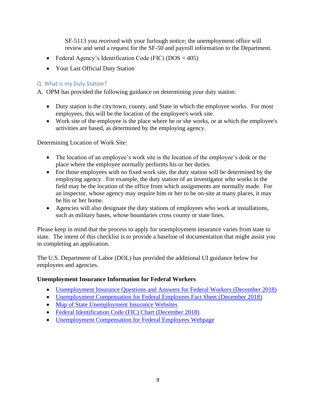SF-5113 you received with your furlough notice; the unemployment office will review and send a request for the SF-50 and payroll information to the Department.

- Federal Agency's Identification Code (FIC) ( $DOS = 405$ )
- Your Last Official Duty Station

### <span id="page-9-0"></span>Q. What is my Duty Station?

A. OPM has provided the following guidance on determining your duty station:

- Duty station is the city/town, county, and State in which the employee works. For most employees, this will be the location of the employee's work site.
- Work site of the employee is the place where he or she works, or at which the employee's activities are based, as determined by the employing agency.

Determining Location of Work Site:

- The location of an employee's work site is the location of the employee's desk or the place where the employee normally performs his or her duties.
- For those employees with no fixed work site, the duty station will be determined by the employing agency. For example, the duty station of an investigator who works in the field may be the location of the office from which assignments are normally made. For an inspector, whose agency may require him or her to be on-site at many places, it may be his or her home.
- Agencies will also designate the duty stations of employees who work at installations, such as military bases, whose boundaries cross county or state lines.

Please keep in mind that the process to apply for unemployment insurance varies from state to state. The intent of this checklist is to provide a baseline of documentation that might assist you in completing an application.

The U.S. Department of Labor (DOL) has provided the additional UI guidance below for employees and agencies.

#### **Unemployment Insurance Information for Federal Workers**

- [Unemployment Insurance Questions and Answers for Federal Workers \(December 2018\)](https://www.opm.gov/policy-data-oversight/pay-leave/furlough-guidance/ucfe-claims-q-and-a-for-opms-website.pdf)
- [Unemployment Compensation for Federal Employees Fact Sheet \(December 2018\)](https://www.opm.gov/policy-data-oversight/pay-leave/furlough-guidance/unemployment-compensation-for-federal-employees-fact-sheet-december-2018.pdf)
- [Map of State Unemployment Insurance Websites](https://www.careeronestop.org/localhelp/unemploymentbenefits/unemployment-benefits.aspx)
- [Federal Identification Code \(FIC\) Chart \(December 2018\)](https://www.opm.gov/policy-data-oversight/pay-leave/furlough-guidance/directory-of-fics-12-6-18.pdf)
- [Unemployment Compensation for Federal Employees Webpage](https://oui.doleta.gov/unemploy/unemcomp.asp)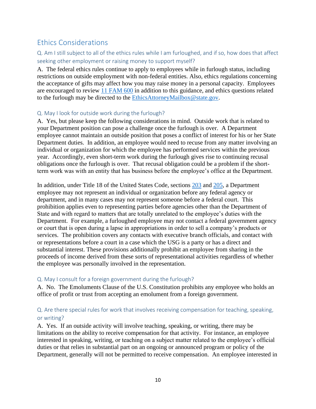# <span id="page-10-0"></span>Ethics Considerations

# <span id="page-10-1"></span>Q. Am I still subject to all of the ethics rules while I am furloughed, and if so, how does that affect seeking other employment or raising money to support myself?

A. The federal ethics rules continue to apply to employees while in furlough status, including restrictions on outside employment with non-federal entities. Also, ethics regulations concerning the acceptance of gifts may affect how you may raise money in a personal capacity. Employees are encouraged to review [11 FAM 600](https://fam.state.gov/Fam/FAM.aspx?ID=11FAM) in addition to this guidance, and ethics questions related to the furlough may be directed to the [EthicsAttorneyMailbox@state.gov.](mailto:EthicsAttorneyMailbox@state.gov)

#### <span id="page-10-2"></span>Q. May I look for outside work during the furlough?

A. Yes, but please keep the following considerations in mind. Outside work that is related to your Department position can pose a challenge once the furlough is over. A Department employee cannot maintain an outside position that poses a conflict of interest for his or her State Department duties. In addition, an employee would need to recuse from any matter involving an individual or organization for which the employee has performed services within the previous year. Accordingly, even short-term work during the furlough gives rise to continuing recusal obligations once the furlough is over. That recusal obligation could be a problem if the shortterm work was with an entity that has business before the employee's office at the Department.

In addition, under Title 18 of the United States Code, sections [203](https://www2.oge.gov/Web/oge.nsf/Resources/18+U.S.C.+%C2%A7+203:+Compensation+to+Members+of+Congress,+officers,+others+in+matters+affecting+the+Government) and [205,](https://www.oge.gov/Web/oge.nsf/Resources/18+U.S.C.+%C2%A7+205:+Activities+of+officers+and+employees+in+claims+against+and+other+matters+affecting+the+Government) a Department employee may not represent an individual or organization before any federal agency or department, and in many cases may not represent someone before a federal court. This prohibition applies even to representing parties before agencies other than the Department of State and with regard to matters that are totally unrelated to the employee's duties with the Department. For example, a furloughed employee may not contact a federal government agency or court that is open during a lapse in appropriations in order to sell a company's products or services. The prohibition covers any contacts with executive branch officials, and contact with or representations before a court in a case which the USG is a party or has a direct and substantial interest. These provisions additionally prohibit an employee from sharing in the proceeds of income derived from these sorts of representational activities regardless of whether the employee was personally involved in the representation.

#### <span id="page-10-3"></span>Q. May I consult for a foreign government during the furlough?

A. No. The Emoluments Clause of the U.S. Constitution prohibits any employee who holds an office of profit or trust from accepting an emolument from a foreign government.

## <span id="page-10-4"></span>Q. Are there special rules for work that involves receiving compensation for teaching, speaking, or writing?

A. Yes. If an outside activity will involve teaching, speaking, or writing, there may be limitations on the ability to receive compensation for that activity. For instance, an employee interested in speaking, writing, or teaching on a subject matter related to the employee's official duties or that relies in substantial part on an ongoing or announced program or policy of the Department, generally will not be permitted to receive compensation. An employee interested in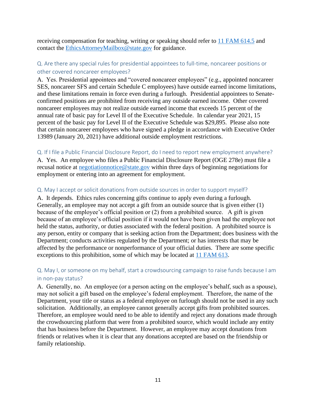receiving compensation for teaching, writing or speaking should refer to [11 FAM 614.5](https://fam.state.gov/Fam/FAM.aspx?ID=11FAM) and contact the [EthicsAttorneyMailbox@state.gov](mailto:EthicsAttorneyMailbox@state.gov) for guidance.

#### <span id="page-11-0"></span>Q. Are there any special rules for presidential appointees to full-time, noncareer positions or other covered noncareer employees?

A. Yes. Presidential appointees and "covered noncareer employees" (e.g., appointed noncareer SES, noncareer SFS and certain Schedule C employees) have outside earned income limitations, and these limitations remain in force even during a furlough. Presidential appointees to Senateconfirmed positions are prohibited from receiving any outside earned income. Other covered noncareer employees may not realize outside earned income that exceeds 15 percent of the annual rate of basic pay for Level II of the Executive Schedule. In calendar year 2021, 15 percent of the basic pay for Level II of the Executive Schedule was \$29,895. Please also note that certain noncareer employees who have signed a pledge in accordance with Executive Order 13989 (January 20, 2021) have additional outside employment restrictions.

#### <span id="page-11-1"></span>Q. If I file a Public Financial Disclosure Report, do I need to report new employment anywhere?

A. Yes. An employee who files a Public Financial Disclosure Report (OGE 278e) must file a recusal notice at [negotiationnotice@state.gov](mailto:negotiationnotice@state.gov) within three days of beginning negotiations for employment or entering into an agreement for employment.

#### <span id="page-11-2"></span>Q. May I accept or solicit donations from outside sources in order to support myself?

A. It depends. Ethics rules concerning gifts continue to apply even during a furlough. Generally, an employee may not accept a gift from an outside source that is given either (1) because of the employee's official position or (2) from a prohibited source. A gift is given because of an employee's official position if it would not have been given had the employee not held the status, authority, or duties associated with the federal position. A prohibited source is any person, entity or company that is seeking action from the Department; does business with the Department; conducts activities regulated by the Department; or has interests that may be affected by the performance or nonperformance of your official duties. There are some specific exceptions to this prohibition, some of which may be located at [11 FAM 613.](https://fam.state.gov/Fam/FAM.aspx?ID=11FAM)

## <span id="page-11-3"></span>Q. May I, or someone on my behalf, start a crowdsourcing campaign to raise funds because I am in non-pay status?

A. Generally, no. An employee (or a person acting on the employee's behalf, such as a spouse), may not solicit a gift based on the employee's federal employment. Therefore, the name of the Department, your title or status as a federal employee on furlough should not be used in any such solicitation. Additionally, an employee cannot generally accept gifts from prohibited sources. Therefore, an employee would need to be able to identify and reject any donations made through the crowdsourcing platform that were from a prohibited source, which would include any entity that has business before the Department. However, an employee may accept donations from friends or relatives when it is clear that any donations accepted are based on the friendship or family relationship.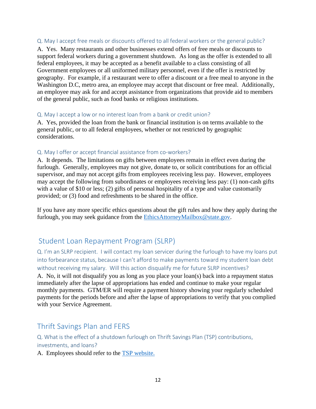#### <span id="page-12-0"></span>Q. May I accept free meals or discounts offered to all federal workers or the general public?

A. Yes. Many restaurants and other businesses extend offers of free meals or discounts to support federal workers during a government shutdown. As long as the offer is extended to all federal employees, it may be accepted as a benefit available to a class consisting of all Government employees or all uniformed military personnel, even if the offer is restricted by geography. For example, if a restaurant were to offer a discount or a free meal to anyone in the Washington D.C, metro area, an employee may accept that discount or free meal. Additionally, an employee may ask for and accept assistance from organizations that provide aid to members of the general public, such as food banks or religious institutions.

#### <span id="page-12-1"></span>Q. May I accept a low or no interest loan from a bank or credit union?

A. Yes, provided the loan from the bank or financial institution is on terms available to the general public, or to all federal employees, whether or not restricted by geographic considerations.

#### <span id="page-12-2"></span>Q. May I offer or accept financial assistance from co-workers?

A. It depends. The limitations on gifts between employees remain in effect even during the furlough. Generally, employees may not give, donate to, or solicit contributions for an official supervisor, and may not accept gifts from employees receiving less pay. However, employees may accept the following from subordinates or employees receiving less pay: (1) non-cash gifts with a value of \$10 or less; (2) gifts of personal hospitality of a type and value customarily provided; or (3) food and refreshments to be shared in the office.

If you have any more specific ethics questions about the gift rules and how they apply during the furlough, you may seek guidance from the [EthicsAttorneyMailbox@state.gov.](mailto:EthicsAttorneyMailbox@state.gov)

# <span id="page-12-3"></span>Student Loan Repayment Program (SLRP)

<span id="page-12-4"></span>Q. I'm an SLRP recipient. I will contact my loan servicer during the furlough to have my loans put into forbearance status, because I can't afford to make payments toward my student loan debt without receiving my salary. Will this action disqualify me for future SLRP incentives?

A. No, it will not disqualify you as long as you place your loan(s) back into a repayment status immediately after the lapse of appropriations has ended and continue to make your regular monthly payments. GTM/ER will require a payment history showing your regularly scheduled payments for the periods before and after the lapse of appropriations to verify that you complied with your Service Agreement.

# <span id="page-12-5"></span>Thrift Savings Plan and FERS

<span id="page-12-6"></span>Q. What is the effect of a shutdown furlough on Thrift Savings Plan (TSP) contributions, investments, and loans?

A. Employees should refer to the [TSP website.](https://www.tsp.gov/)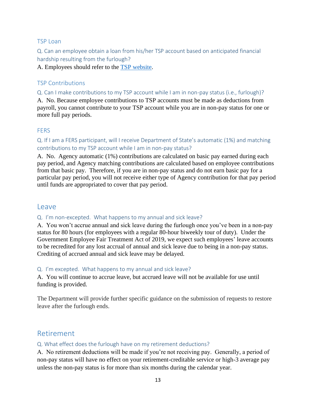#### <span id="page-13-0"></span>TSP Loan

<span id="page-13-1"></span>Q. Can an employee obtain a loan from his/her TSP account based on anticipated financial hardship resulting from the furlough?

A. Employees should refer to the [TSP website.](https://www.tsp.gov/)

# <span id="page-13-2"></span>TSP Contributions

<span id="page-13-3"></span>Q. Can I make contributions to my TSP account while I am in non-pay status (i.e., furlough)?

A. No. Because employee contributions to TSP accounts must be made as deductions from payroll, you cannot contribute to your TSP account while you are in non-pay status for one or more full pay periods.

## <span id="page-13-4"></span>**FERS**

<span id="page-13-5"></span>Q. If I am a FERS participant, will I receive Department of State's automatic (1%) and matching contributions to my TSP account while I am in non-pay status?

A. No. Agency automatic (1%) contributions are calculated on basic pay earned during each pay period, and Agency matching contributions are calculated based on employee contributions from that basic pay. Therefore, if you are in non-pay status and do not earn basic pay for a particular pay period, you will not receive either type of Agency contribution for that pay period until funds are appropriated to cover that pay period.

# <span id="page-13-6"></span>Leave

#### <span id="page-13-7"></span>Q. I'm non-excepted. What happens to my annual and sick leave?

A. You won't accrue annual and sick leave during the furlough once you've been in a non-pay status for 80 hours (for employees with a regular 80-hour biweekly tour of duty). Under the Government Employee Fair Treatment Act of 2019, we expect such employees' leave accounts to be recredited for any lost accrual of annual and sick leave due to being in a non-pay status. Crediting of accrued annual and sick leave may be delayed.

#### <span id="page-13-8"></span>Q. I'm excepted. What happens to my annual and sick leave?

A. You will continue to accrue leave, but accrued leave will not be available for use until funding is provided.

The Department will provide further specific guidance on the submission of requests to restore leave after the furlough ends.

# <span id="page-13-9"></span>Retirement

#### <span id="page-13-10"></span>Q. What effect does the furlough have on my retirement deductions?

A. No retirement deductions will be made if you're not receiving pay. Generally, a period of non-pay status will have no effect on your retirement-creditable service or high-3 average pay unless the non-pay status is for more than six months during the calendar year.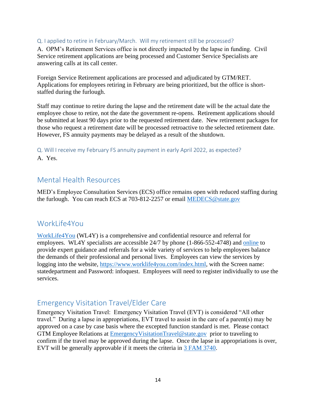#### <span id="page-14-0"></span>Q. I applied to retire in February/March. Will my retirement still be processed?

A. OPM's Retirement Services office is not directly impacted by the lapse in funding. Civil Service retirement applications are being processed and Customer Service Specialists are answering calls at its call center.

Foreign Service Retirement applications are processed and adjudicated by GTM/RET. Applications for employees retiring in February are being prioritized, but the office is shortstaffed during the furlough.

Staff may continue to retire during the lapse and the retirement date will be the actual date the employee chose to retire, not the date the government re-opens. Retirement applications should be submitted at least 90 days prior to the requested retirement date. New retirement packages for those who request a retirement date will be processed retroactive to the selected retirement date. However, FS annuity payments may be delayed as a result of the shutdown.

<span id="page-14-1"></span>Q. Will I receive my February FS annuity payment in early April 2022, as expected? A. Yes.

# <span id="page-14-2"></span>Mental Health Resources

MED's Employee Consultation Services (ECS) office remains open with reduced staffing during the furlough. You can reach ECS at 703-812-2257 or email [MEDECS@state.gov](mailto:MEDECS@state.gov)

# <span id="page-14-3"></span>WorkLife4You

[WorkLife4You](https://www.worklife4you.com/index.html) (WL4Y) is a comprehensive and confidential resource and referral for employees. WL4Y specialists are accessible 24/7 by phone (1-866-552-4748) and [online](https://www.worklife4you.com/index.html) to provide expert guidance and referrals for a wide variety of services to help employees balance the demands of their professional and personal lives. Employees can view the services by logging into the website, [https://www.worklife4you.com/index.html,](https://www.worklife4you.com/index.html) with the Screen name: statedepartment and Password: infoquest. Employees will need to register individually to use the services.

# <span id="page-14-4"></span>Emergency Visitation Travel/Elder Care

Emergency Visitation Travel: Emergency Visitation Travel (EVT) is considered "All other travel." During a lapse in appropriations, EVT travel to assist in the care of a parent(s) may be approved on a case by case basis where the excepted function standard is met. Please contact GTM Employee Relations at [EmergencyVisitationTravel@state.gov](mailto:EmergencyVisitationTravel@state.gov) prior to traveling to confirm if the travel may be approved during the lapse. Once the lapse in appropriations is over, EVT will be generally approvable if it meets the criteria in [3 FAM 3740.](https://fam.state.gov/fam/03fam/03fam3740.html)